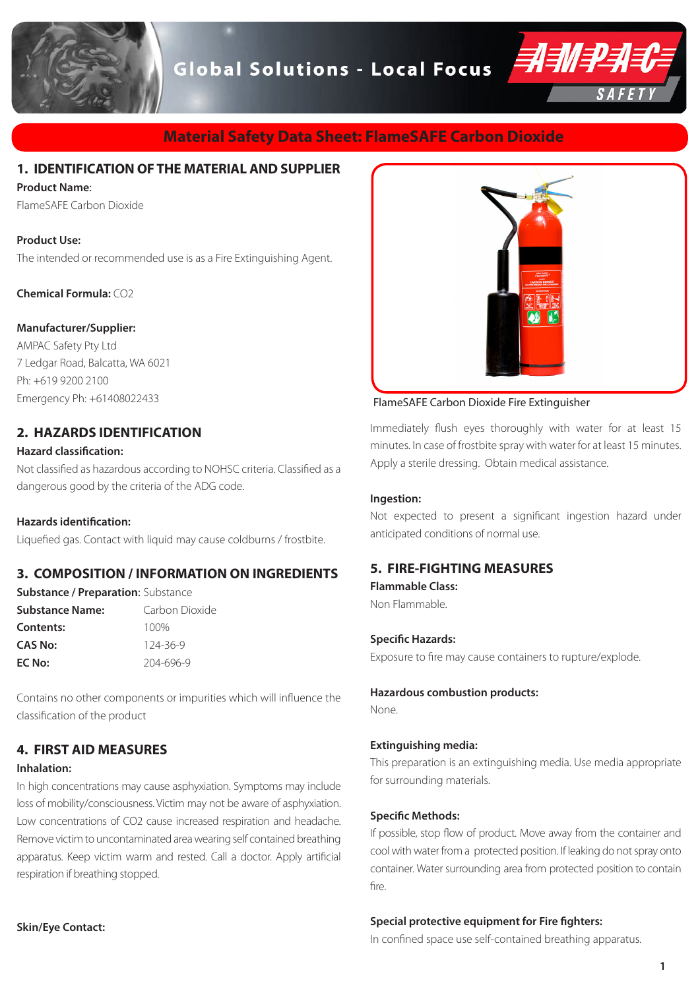**Global Solutions - Local Focus** 



# **Material Safety Data Sheet: FlameSAFE Carbon Dioxide**

# **1. IDENTIFICATION OF THE MATERIAL AND SUPPLIER**

### **Product Name**:

FlameSAFE Carbon Dioxide

### **Product Use:**

The intended or recommended use is as a Fire Extinguishing Agent.

**Chemical Formula:** CO2

### **Manufacturer/Supplier:**

AMPAC Safety Pty Ltd 7 Ledgar Road, Balcatta, WA 6021 Ph: +619 9200 2100 Emergency Ph: +61408022433

# **2. HAZARDS IDENTIFICATION**

### **Hazard classification:**

Not classified as hazardous according to NOHSC criteria. Classified as a dangerous good by the criteria of the ADG code.

### **Hazards identification:**

Liquefied gas. Contact with liquid may cause coldburns / frostbite.

## **3. COMPOSITION / INFORMATION ON INGREDIENTS**

| <b>Substance / Preparation: Substance</b> |                |
|-------------------------------------------|----------------|
| <b>Substance Name:</b>                    | Carbon Dioxide |
| Contents:                                 | 100%           |
| <b>CAS No:</b>                            | $124 - 36 - 9$ |
| EC No:                                    | 204-696-9      |

Contains no other components or impurities which will influence the classification of the product

# **4. FIRST AID MEASURES**

### **Inhalation:**

In high concentrations may cause asphyxiation. Symptoms may include loss of mobility/consciousness. Victim may not be aware of asphyxiation. Low concentrations of CO2 cause increased respiration and headache. Remove victim to uncontaminated area wearing self contained breathing apparatus. Keep victim warm and rested. Call a doctor. Apply artificial respiration if breathing stopped.



### FlameSAFE Carbon Dioxide Fire Extinguisher

Immediately flush eyes thoroughly with water for at least 15 minutes. In case of frostbite spray with water for at least 15 minutes. Apply a sterile dressing. Obtain medical assistance.

### **Ingestion:**

Not expected to present a significant ingestion hazard under anticipated conditions of normal use.

### **5. FIRE-FIGHTING MEASURES**

**Flammable Class:**  Non Flammable.

### **Specific Hazards:**

Exposure to fire may cause containers to rupture/explode.

**Hazardous combustion products:**

None.

### **Extinguishing media:**

This preparation is an extinguishing media. Use media appropriate for surrounding materials.

### **Specific Methods:**

If possible, stop flow of product. Move away from the container and cool with water from a protected position. If leaking do not spray onto container. Water surrounding area from protected position to contain fire.

### **Special protective equipment for Fire fighters:**

In confined space use self-contained breathing apparatus.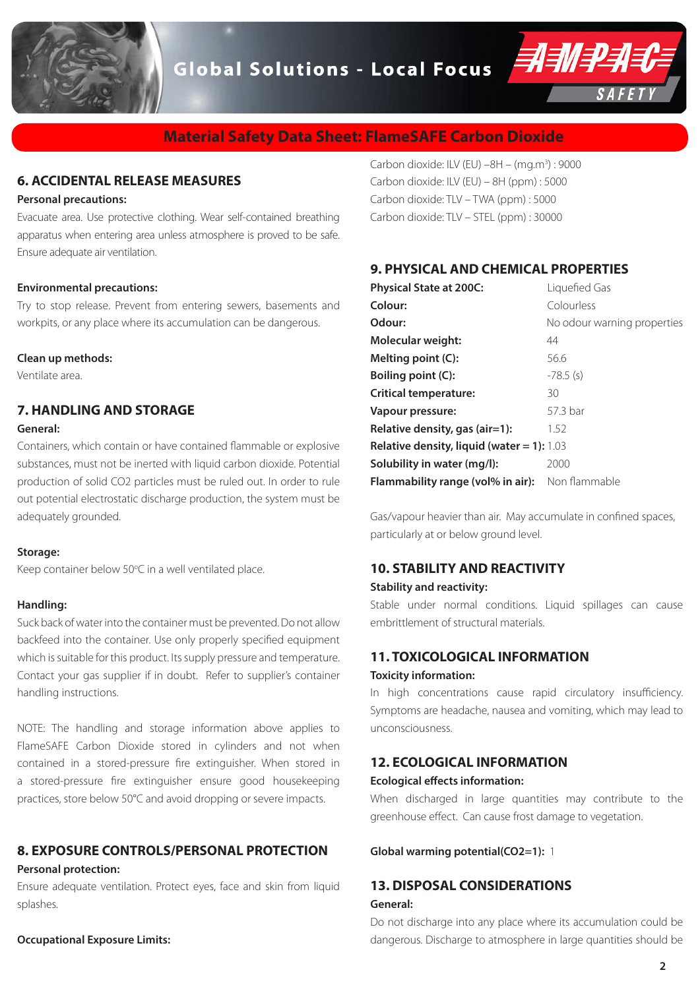

**Global Solutions - Local Focus** 



# **Material Safety Data Sheet: FlameSAFE Carbon Dioxide**

# **6. ACCIDENTAL RELEASE MEASURES**

### **Personal precautions:**

Evacuate area. Use protective clothing. Wear self-contained breathing apparatus when entering area unless atmosphere is proved to be safe. Ensure adequate air ventilation.

#### **Environmental precautions:**

Try to stop release. Prevent from entering sewers, basements and workpits, or any place where its accumulation can be dangerous.

#### **Clean up methods:**

Ventilate area.

# **7. HANDLING AND STORAGE**

### **General:**

Containers, which contain or have contained flammable or explosive substances, must not be inerted with liquid carbon dioxide. Potential production of solid CO2 particles must be ruled out. In order to rule out potential electrostatic discharge production, the system must be adequately grounded.

### **Storage:**

Keep container below 50°C in a well ventilated place.

### **Handling:**

Suck back of water into the container must be prevented. Do not allow backfeed into the container. Use only properly specified equipment which is suitable for this product. Its supply pressure and temperature. Contact your gas supplier if in doubt. Refer to supplier's container handling instructions.

NOTE: The handling and storage information above applies to FlameSAFE Carbon Dioxide stored in cylinders and not when contained in a stored-pressure fire extinguisher. When stored in a stored-pressure fire extinguisher ensure good housekeeping practices, store below 50°C and avoid dropping or severe impacts.

# **8. EXPOSURE CONTROLS/PERSONAL PROTECTION Personal protection:**

Ensure adequate ventilation. Protect eyes, face and skin from liquid splashes.

**Occupational Exposure Limits:** 

Carbon dioxide: ILV (EU)  $-8H - (mg.m<sup>3</sup>)$ : 9000 Carbon dioxide: ILV (EU) – 8H (ppm) : 5000 Carbon dioxide: TLV – TWA (ppm) : 5000 Carbon dioxide: TLV – STEL (ppm) : 30000

## **9. PHYSICAL AND CHEMICAL PROPERTIES**

| <b>Physical State at 200C:</b>                    | Liquefied Gas               |
|---------------------------------------------------|-----------------------------|
| Colour:                                           | Colourless                  |
| Odour:                                            | No odour warning properties |
| Molecular weight:                                 | 44                          |
| Melting point (C):                                | 56.6                        |
| Boiling point (C):                                | $-78.5$ (s)                 |
| <b>Critical temperature:</b>                      | 30                          |
| Vapour pressure:                                  | 57.3 bar                    |
| Relative density, gas $(air=1)$ :                 | 1.52                        |
| <b>Relative density, liquid (water = 1):</b> 1.03 |                             |
| Solubility in water (mg/l):                       | 2000                        |
| Flammability range (vol% in air):                 | Non flammable               |

Gas/vapour heavier than air. May accumulate in confined spaces, particularly at or below ground level.

### **10. STABILITY AND REACTIVITY**

### **Stability and reactivity:**

Stable under normal conditions. Liquid spillages can cause embrittlement of structural materials.

# **11. TOXICOLOGICAL INFORMATION**

# **Toxicity information:**

In high concentrations cause rapid circulatory insufficiency. Symptoms are headache, nausea and vomiting, which may lead to unconsciousness.

## **12. ECOLOGICAL INFORMATION**

### **Ecological effects information:**

When discharged in large quantities may contribute to the greenhouse effect. Can cause frost damage to vegetation.

**Global warming potential(CO2=1):** 1

# **13. DISPOSAL CONSIDERATIONS General:**

Do not discharge into any place where its accumulation could be dangerous. Discharge to atmosphere in large quantities should be